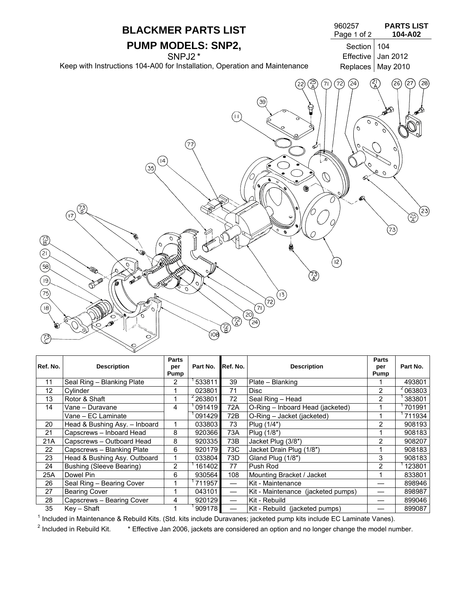

| Ref. No. | <b>Description</b>              | <b>Parts</b><br>per<br>Pump | Part No.      | Ref. No. | <b>Description</b>                 | <b>Parts</b><br>per<br>Pump | Part No. |
|----------|---------------------------------|-----------------------------|---------------|----------|------------------------------------|-----------------------------|----------|
| 11       | Seal Ring - Blanking Plate      | 2                           | 533811        | 39       | Plate - Blanking                   |                             | 493801   |
| 12       | Cylinder                        |                             | 023801        | 71       | <b>Disc</b>                        | 2                           | 2063803  |
| 13       | Rotor & Shaft                   |                             | $^{2}$ 263801 | 72       | Seal Ring - Head                   | 2                           | 383801   |
| 14       | Vane - Duravane                 | 4                           | 091419        | 72A      | O-Ring - Inboard Head (jacketed)   |                             | 701991   |
|          | Vane - EC Laminate              |                             | 091429        | 72B      | O-Ring - Jacket (jacketed)         |                             | 711934   |
| 20       | Head & Bushing Asy. - Inboard   |                             | 033803        | 73       | Plug (1/4")                        | 2                           | 908193   |
| 21       | Capscrews - Inboard Head        | 8                           | 920366        | 73A      | Plug (1/8")                        |                             | 908183   |
| 21A      | Capscrews - Outboard Head       | 8                           | 920335        | 73B      | Jacket Plug (3/8")                 | $\overline{2}$              | 908207   |
| 22       | Capscrews - Blanking Plate      | 6                           | 920179        | 73C      | Jacket Drain Plug (1/8")           |                             | 908183   |
| 23       | Head & Bushing Asy. Outboard    |                             | 033804        | 73D      | Gland Plug (1/8")                  | 3                           | 908183   |
| 24       | <b>Bushing (Sleeve Bearing)</b> | 2                           | 1614021       | 77       | Push Rod                           | $\overline{2}$              | 123801   |
| 25A      | Dowel Pin                       | 6                           | 930564        | 108      | Mounting Bracket / Jacket          |                             | 833801   |
| 26       | Seal Ring - Bearing Cover       |                             | 711957        |          | Kit - Maintenance                  |                             | 898946   |
| 27       | <b>Bearing Cover</b>            |                             | 043101        |          | Kit - Maintenance (jacketed pumps) |                             | 898987   |
| 28       | Capscrews - Bearing Cover       | 4                           | 920129        |          | Kit - Rebuild                      |                             | 899046   |
| 35       | Kev – Shaft                     |                             | 909178        |          | Kit - Rebuild (jacketed pumps)     |                             | 899087   |

1 Included in Maintenance & Rebuild Kits. (Std. kits include Duravanes; jacketed pump kits include EC Laminate Vanes). 2

 $2$  Included in Rebuild Kit.  $*$  Effective Jan 2006, jackets are considered an option and no longer change the model number.